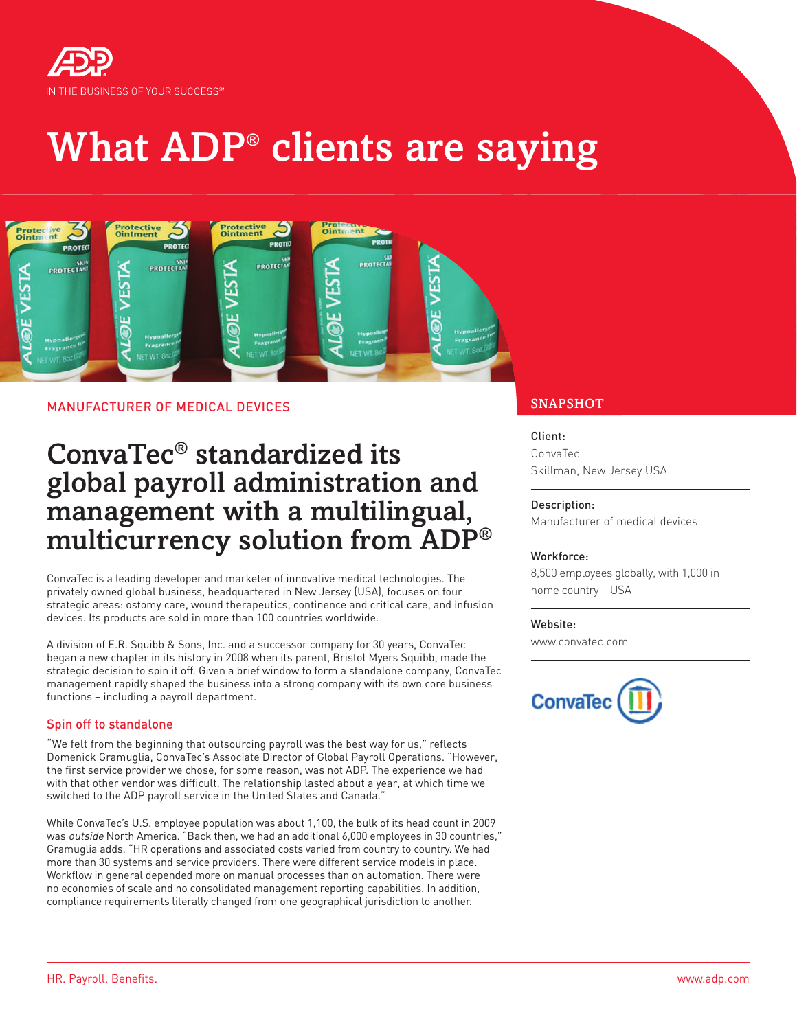

# What ADP® clients are saying



### MANUFACTURER OF MEDICAL DEVICES SNAPSHOT

## ConvaTec® standardized its global payroll administration and management with a multilingual, multicurrency solution from ADP®

ConvaTec is a leading developer and marketer of innovative medical technologies. The privately owned global business, headquartered in New Jersey (USA), focuses on four strategic areas: ostomy care, wound therapeutics, continence and critical care, and infusion devices. Its products are sold in more than 100 countries worldwide.

A division of E.R. Squibb & Sons, Inc. and a successor company for 30 years, ConvaTec began a new chapter in its history in 2008 when its parent, Bristol Myers Squibb, made the strategic decision to spin it off. Given a brief window to form a standalone company, ConvaTec management rapidly shaped the business into a strong company with its own core business functions – including a payroll department.

#### Spin off to standalone

"We felt from the beginning that outsourcing payroll was the best way for us," reflects Domenick Gramuglia, ConvaTec's Associate Director of Global Payroll Operations. "However, the first service provider we chose, for some reason, was not ADP. The experience we had with that other vendor was difficult. The relationship lasted about a year, at which time we switched to the ADP payroll service in the United States and Canada."

While ConvaTec's U.S. employee population was about 1,100, the bulk of its head count in 2009 was outside North America. "Back then, we had an additional 6,000 employees in 30 countries," Gramuglia adds. "HR operations and associated costs varied from country to country. We had more than 30 systems and service providers. There were different service models in place. Workflow in general depended more on manual processes than on automation. There were no economies of scale and no consolidated management reporting capabilities. In addition, compliance requirements literally changed from one geographical jurisdiction to another.

#### Client:

ConvaTec Skillman, New Jersey USA

#### Description:

Manufacturer of medical devices

#### Workforce:

8,500 employees globally, with 1,000 in home country – USA

#### Website:

www.convatec.com